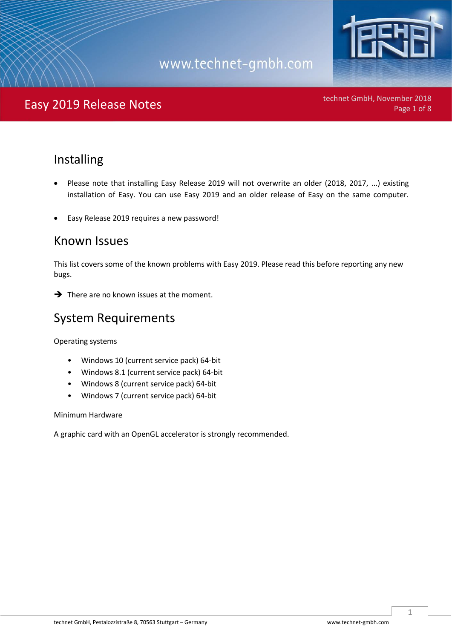

### Easy 2019 Release Notes **Page 1 of 8** and the context of the Page 1 of 8

technet GmbH, November 2018

#### Installing

- Please note that installing Easy Release 2019 will not overwrite an older (2018, 2017, ...) existing installation of Easy. You can use Easy 2019 and an older release of Easy on the same computer.
- Easy Release 2019 requires a new password!

#### Known Issues

This list covers some of the known problems with Easy 2019. Please read this before reporting any new bugs.

**→** There are no known issues at the moment.

#### System Requirements

Operating systems

- Windows 10 (current service pack) 64-bit
- Windows 8.1 (current service pack) 64-bit
- Windows 8 (current service pack) 64-bit
- Windows 7 (current service pack) 64-bit

Minimum Hardware

A graphic card with an OpenGL accelerator is strongly recommended.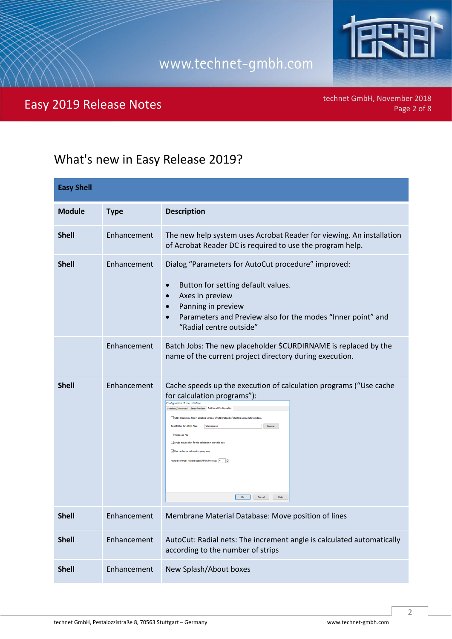

### Easy 2019 Release Notes **Page 2018** Easy 2019 Release Notes

technet GmbH, November 2018

### What's new in Easy Release 2019?

| <b>Easy Shell</b> |             |                                                                                                                                                                                                                                                                                                                                                                                                                                                                                                                                                         |
|-------------------|-------------|---------------------------------------------------------------------------------------------------------------------------------------------------------------------------------------------------------------------------------------------------------------------------------------------------------------------------------------------------------------------------------------------------------------------------------------------------------------------------------------------------------------------------------------------------------|
| <b>Module</b>     | <b>Type</b> | <b>Description</b>                                                                                                                                                                                                                                                                                                                                                                                                                                                                                                                                      |
| <b>Shell</b>      | Enhancement | The new help system uses Acrobat Reader for viewing. An installation<br>of Acrobat Reader DC is required to use the program help.                                                                                                                                                                                                                                                                                                                                                                                                                       |
| <b>Shell</b>      | Enhancement | Dialog "Parameters for AutoCut procedure" improved:<br>Button for setting default values.<br>$\bullet$<br>Axes in preview<br>$\bullet$<br>Panning in preview<br>Parameters and Preview also for the modes "Inner point" and<br>$\bullet$<br>"Radial centre outside"                                                                                                                                                                                                                                                                                     |
|                   | Enhancement | Batch Jobs: The new placeholder \$CURDIRNAME is replaced by the<br>name of the current project directory during execution.                                                                                                                                                                                                                                                                                                                                                                                                                              |
| <b>Shell</b>      | Enhancement | Cache speeds up the execution of calculation programs ("Use cache<br>for calculation programs"):<br><b>Configuration of User Interface</b><br>Standard/Advanced Classic/Modern Additional Configuration<br>GED: Open new files in existing window of GED instead of starting a new GED window<br>Text Editor for ASCII Files: notepad.exe<br>Browse<br>Write Log File<br>Single mouse click for file selection in start file box<br>Use cache for calculation programs<br>Number of Most Recent Used (MRU) Projects: 4<br>$Q_{\rm K}$<br>Cancel<br>Help |
| Shell             | Enhancement | Membrane Material Database: Move position of lines                                                                                                                                                                                                                                                                                                                                                                                                                                                                                                      |
| <b>Shell</b>      | Enhancement | AutoCut: Radial nets: The increment angle is calculated automatically<br>according to the number of strips                                                                                                                                                                                                                                                                                                                                                                                                                                              |
| <b>Shell</b>      | Enhancement | New Splash/About boxes                                                                                                                                                                                                                                                                                                                                                                                                                                                                                                                                  |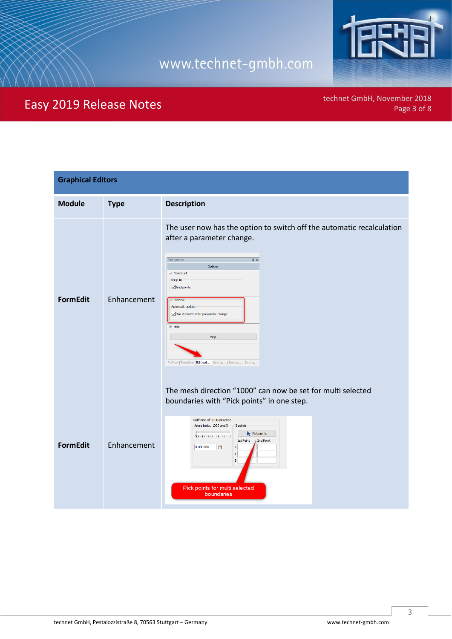

### Easy 2019 Release Notes

| <b>Graphical Editors</b> |             |                                                                                                                                                                                                                                                                                                                                                                                         |
|--------------------------|-------------|-----------------------------------------------------------------------------------------------------------------------------------------------------------------------------------------------------------------------------------------------------------------------------------------------------------------------------------------------------------------------------------------|
| <b>Module</b>            | <b>Type</b> | <b>Description</b>                                                                                                                                                                                                                                                                                                                                                                      |
| <b>FormEdit</b>          | Enhancement | The user now has the option to switch off the automatic recalculation<br>after a parameter change.<br>$\upmu$ $\times$<br>Edit options<br>Options<br>□ Construct<br>Snap to<br>$\boxed{\smash{\triangleleft}}$ Grid points<br><b>E</b> PreView<br>Automatic update<br>No PreView" after parameter change<br>□ Help<br>Help<br>PreView   Transform Edit opt   View op   Bounda   Strut a |
| <b>FormEdit</b>          | Enhancement | The mesh direction "1000" can now be set for multi selected<br>boundaries with "Pick points" in one step.<br>Definition of 1000-direction<br>Angle betw. 1000 and X 2 points<br>$\blacktriangleright$ Pick points<br>7 <del>.</del><br>1st Point<br>2nd Point<br>0.000000<br>[9]<br>X<br>Y<br>$\mathbf{z}$<br>Pick points for multi selected<br>boundaries                              |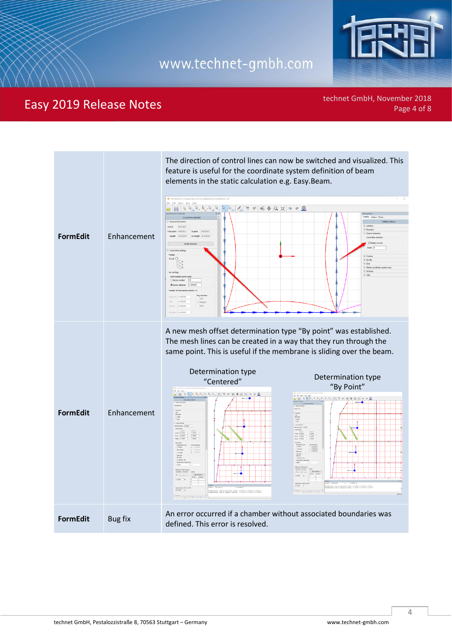

### Easy 2019 Release Notes **Page 1918** Control of the Company November 2018

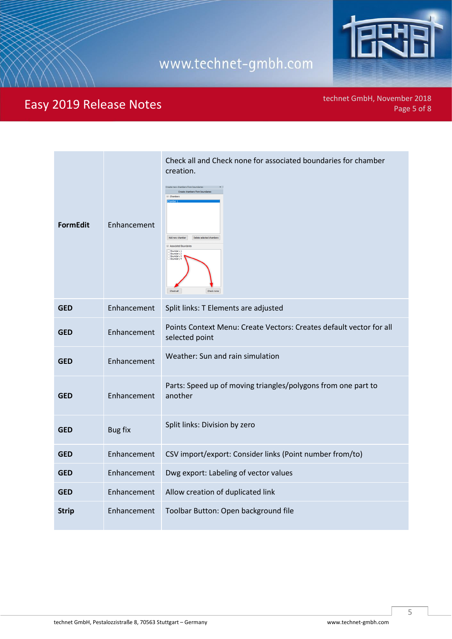

### Easy 2019 Release Notes

| <b>FormEdit</b> | Enhancement    | Check all and Check none for associated boundaries for chamber<br>creation.<br>Create new chambers from boundaries<br>Create chambers from boundaries<br>$\equiv$ Chambers<br>Add new chamber<br>Delete selected chambers<br>Associated Boundaries<br>oundary<br>Boundary 2<br>Boundary 3<br>Boundary<br>Check all<br>Check none |
|-----------------|----------------|----------------------------------------------------------------------------------------------------------------------------------------------------------------------------------------------------------------------------------------------------------------------------------------------------------------------------------|
| <b>GED</b>      | Enhancement    | Split links: T Elements are adjusted                                                                                                                                                                                                                                                                                             |
| <b>GED</b>      | Enhancement    | Points Context Menu: Create Vectors: Creates default vector for all<br>selected point                                                                                                                                                                                                                                            |
| <b>GED</b>      | Enhancement    | Weather: Sun and rain simulation                                                                                                                                                                                                                                                                                                 |
| <b>GED</b>      | Enhancement    | Parts: Speed up of moving triangles/polygons from one part to<br>another                                                                                                                                                                                                                                                         |
| <b>GED</b>      | <b>Bug fix</b> | Split links: Division by zero                                                                                                                                                                                                                                                                                                    |
| <b>GED</b>      | Enhancement    | CSV import/export: Consider links (Point number from/to)                                                                                                                                                                                                                                                                         |
| <b>GED</b>      | Enhancement    | Dwg export: Labeling of vector values                                                                                                                                                                                                                                                                                            |
| <b>GED</b>      | Enhancement    | Allow creation of duplicated link                                                                                                                                                                                                                                                                                                |
| <b>Strip</b>    | Enhancement    | Toolbar Button: Open background file                                                                                                                                                                                                                                                                                             |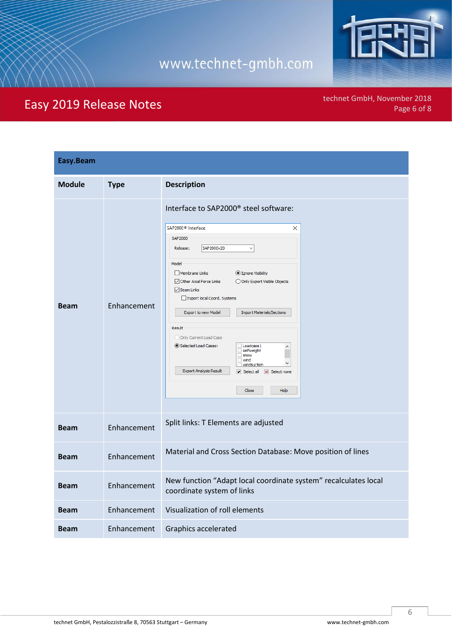

### Easy 2019 Release Notes

| Easy.Beam     |             |                                                                                                                                                                                                                                                                                                                                                                                                                                                                                                                                                                                                                                   |
|---------------|-------------|-----------------------------------------------------------------------------------------------------------------------------------------------------------------------------------------------------------------------------------------------------------------------------------------------------------------------------------------------------------------------------------------------------------------------------------------------------------------------------------------------------------------------------------------------------------------------------------------------------------------------------------|
| <b>Module</b> | <b>Type</b> | <b>Description</b>                                                                                                                                                                                                                                                                                                                                                                                                                                                                                                                                                                                                                |
| <b>Beam</b>   | Enhancement | Interface to SAP2000 <sup>®</sup> steel software:<br>SAP2000 <sup>®</sup> Interface<br>X<br>SAP2000<br>SAP2000v20<br>Release:<br>$\checkmark$<br>Model<br>Membrane Links<br>● Ignore Visibility<br>Other Axial Force Links<br>O Only Export Visible Objects<br>$\sqrt{}$ Beam Links<br>Export local Coord. Systems<br>Export to new Model<br><b>Import Materials/Sections</b><br>Result<br>O Only Current Load Case<br>Selected Load Cases:<br>Loadcase 1<br>$\land$<br>selfweight<br>$\Box$ snow<br>$\Box$ wind<br>$\checkmark$<br>windsuction<br><b>Export Analysis Result</b><br>Select all   X   Select none<br>Close<br>Help |
| <b>Beam</b>   | Enhancement | Split links: T Elements are adjusted                                                                                                                                                                                                                                                                                                                                                                                                                                                                                                                                                                                              |
| <b>Beam</b>   | Enhancement | Material and Cross Section Database: Move position of lines                                                                                                                                                                                                                                                                                                                                                                                                                                                                                                                                                                       |
| <b>Beam</b>   | Enhancement | New function "Adapt local coordinate system" recalculates local<br>coordinate system of links                                                                                                                                                                                                                                                                                                                                                                                                                                                                                                                                     |
| <b>Beam</b>   | Enhancement | Visualization of roll elements                                                                                                                                                                                                                                                                                                                                                                                                                                                                                                                                                                                                    |
| Beam          | Enhancement | Graphics accelerated                                                                                                                                                                                                                                                                                                                                                                                                                                                                                                                                                                                                              |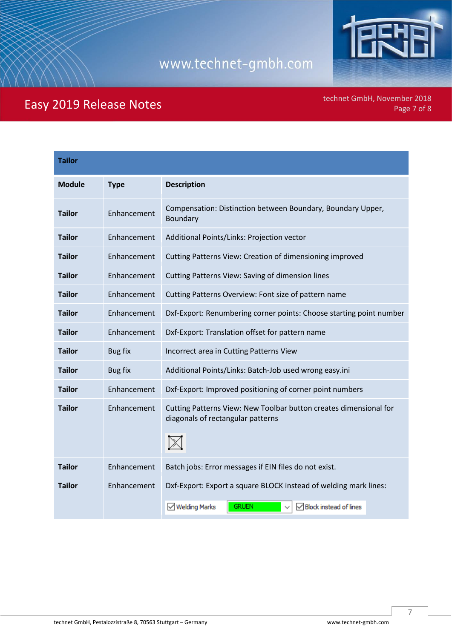

### Easy 2019 Release Notes

| <b>Tailor</b> |             |                                                                                                                                         |
|---------------|-------------|-----------------------------------------------------------------------------------------------------------------------------------------|
| <b>Module</b> | <b>Type</b> | <b>Description</b>                                                                                                                      |
| <b>Tailor</b> | Enhancement | Compensation: Distinction between Boundary, Boundary Upper,<br>Boundary                                                                 |
| <b>Tailor</b> | Enhancement | Additional Points/Links: Projection vector                                                                                              |
| <b>Tailor</b> | Enhancement | Cutting Patterns View: Creation of dimensioning improved                                                                                |
| <b>Tailor</b> | Enhancement | Cutting Patterns View: Saving of dimension lines                                                                                        |
| <b>Tailor</b> | Enhancement | Cutting Patterns Overview: Font size of pattern name                                                                                    |
| <b>Tailor</b> | Enhancement | Dxf-Export: Renumbering corner points: Choose starting point number                                                                     |
| <b>Tailor</b> | Enhancement | Dxf-Export: Translation offset for pattern name                                                                                         |
| <b>Tailor</b> | Bug fix     | Incorrect area in Cutting Patterns View                                                                                                 |
| <b>Tailor</b> | Bug fix     | Additional Points/Links: Batch-Job used wrong easy.ini                                                                                  |
| <b>Tailor</b> | Enhancement | Dxf-Export: Improved positioning of corner point numbers                                                                                |
| <b>Tailor</b> | Enhancement | Cutting Patterns View: New Toolbar button creates dimensional for<br>diagonals of rectangular patterns                                  |
| <b>Tailor</b> | Enhancement | Batch jobs: Error messages if EIN files do not exist.                                                                                   |
| <b>Tailor</b> | Enhancement | Dxf-Export: Export a square BLOCK instead of welding mark lines:<br><b>GRUEN</b><br>$\sqrt{}$ Welding Marks<br>☑ Block instead of lines |